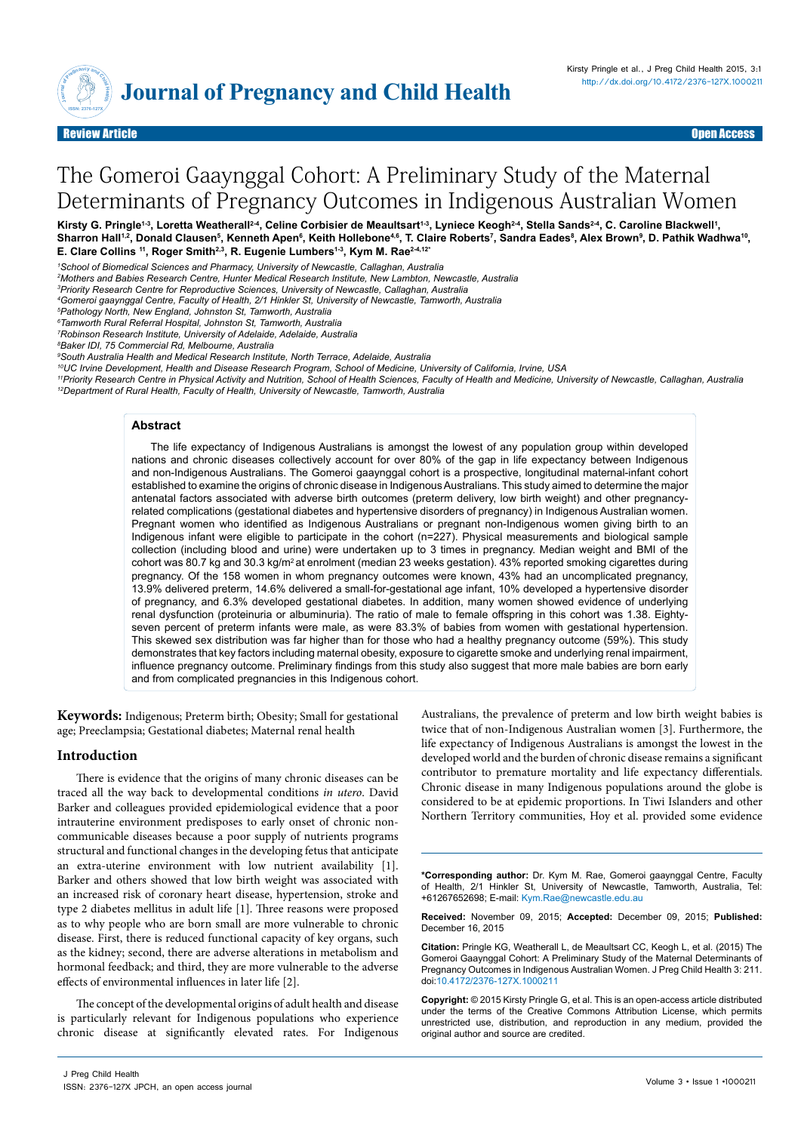

# The Gomeroi Gaaynggal Cohort: A Preliminary Study of the Maternal Determinants of Pregnancy Outcomes in Indigenous Australian Women

Kirsty G. Pringle<sup>1.3</sup>, Loretta Weatherall<sup>2.4</sup>, Celine Corbisier de Meaultsart<sup>1.3</sup>, Lyniece Keogh<sup>2.4</sup>, Stella Sands<sup>2.4</sup>, C. Caroline Blackwell<sup>1</sup>, Sharron Hall<sup>1,2</sup>, Donald Clausen<sup>s</sup>, Kenneth Apen<sup>s</sup>, Keith Hollebone<sup>4,6</sup>, T. Claire Roberts<sup>7</sup>, Sandra Eades<sup>8</sup>, Alex Brown<sup>s</sup>, D. Pathik Wadhwa<sup>10</sup>, E. Clare Collins<sup>11</sup>, Roger Smith<sup>2,3</sup>, R. Eugenie Lumbers<sup>1,3</sup>, Kym M. Rae<sup>24,12\*</sup>

*2 Mothers and Babies Research Centre, Hunter Medical Research Institute, New Lambton, Newcastle, Australia*

*3 Priority Research Centre for Reproductive Sciences, University of Newcastle, Callaghan, Australia* 

*4 Gomeroi gaaynggal Centre, Faculty of Health, 2/1 Hinkler St, University of Newcastle, Tamworth, Australia* 

*5 Pathology North, New England, Johnston St, Tamworth, Australia* 

*6Tamworth Rural Referral Hospital, Johnston St, Tamworth, Australia* 

*7 Robinson Research Institute, University of Adelaide, Adelaide, Australia* 

*8 Baker IDI, 75 Commercial Rd, Melbourne, Australia*

*9 South Australia Health and Medical Research Institute, North Terrace, Adelaide, Australia* 

10UC Irvine Development, Health and Disease Research Program, School of Medicine, University of California, Irvine, USA<br>11Priority Research Centre in Physical Activity and Nutrition, School of Health Sciences, Faculty of H *12Department of Rural Health, Faculty of Health, University of Newcastle, Tamworth, Australia*

#### **Abstract**

The life expectancy of Indigenous Australians is amongst the lowest of any population group within developed nations and chronic diseases collectively account for over 80% of the gap in life expectancy between Indigenous and non-Indigenous Australians. The Gomeroi gaaynggal cohort is a prospective, longitudinal maternal-infant cohort established to examine the origins of chronic disease in Indigenous Australians. This study aimed to determine the major antenatal factors associated with adverse birth outcomes (preterm delivery, low birth weight) and other pregnancyrelated complications (gestational diabetes and hypertensive disorders of pregnancy) in Indigenous Australian women. Pregnant women who identified as Indigenous Australians or pregnant non-Indigenous women giving birth to an Indigenous infant were eligible to participate in the cohort (n=227). Physical measurements and biological sample collection (including blood and urine) were undertaken up to 3 times in pregnancy. Median weight and BMI of the cohort was 80.7 kg and 30.3 kg/m<sup>2</sup> at enrolment (median 23 weeks gestation). 43% reported smoking cigarettes during pregnancy. Of the 158 women in whom pregnancy outcomes were known, 43% had an uncomplicated pregnancy, 13.9% delivered preterm, 14.6% delivered a small-for-gestational age infant, 10% developed a hypertensive disorder of pregnancy, and 6.3% developed gestational diabetes. In addition, many women showed evidence of underlying renal dysfunction (proteinuria or albuminuria). The ratio of male to female offspring in this cohort was 1.38. Eightyseven percent of preterm infants were male, as were 83.3% of babies from women with gestational hypertension. This skewed sex distribution was far higher than for those who had a healthy pregnancy outcome (59%). This study demonstrates that key factors including maternal obesity, exposure to cigarette smoke and underlying renal impairment, influence pregnancy outcome. Preliminary findings from this study also suggest that more male babies are born early and from complicated pregnancies in this Indigenous cohort.

**Keywords:** Indigenous; Preterm birth; Obesity; Small for gestational age; Preeclampsia; Gestational diabetes; Maternal renal health

# **Introduction**

There is evidence that the origins of many chronic diseases can be traced all the way back to developmental conditions *in utero*. David Barker and colleagues provided epidemiological evidence that a poor intrauterine environment predisposes to early onset of chronic noncommunicable diseases because a poor supply of nutrients programs structural and functional changes in the developing fetus that anticipate an extra-uterine environment with low nutrient availability [1]. Barker and others showed that low birth weight was associated with an increased risk of coronary heart disease, hypertension, stroke and type 2 diabetes mellitus in adult life [1]. Three reasons were proposed as to why people who are born small are more vulnerable to chronic disease. First, there is reduced functional capacity of key organs, such as the kidney; second, there are adverse alterations in metabolism and hormonal feedback; and third, they are more vulnerable to the adverse effects of environmental influences in later life [2].

The concept of the developmental origins of adult health and disease is particularly relevant for Indigenous populations who experience chronic disease at significantly elevated rates. For Indigenous

Australians, the prevalence of preterm and low birth weight babies is twice that of non-Indigenous Australian women [3]. Furthermore, the life expectancy of Indigenous Australians is amongst the lowest in the developed world and the burden of chronic disease remains a significant contributor to premature mortality and life expectancy differentials. Chronic disease in many Indigenous populations around the globe is considered to be at epidemic proportions. In Tiwi Islanders and other Northern Territory communities, Hoy et al. provided some evidence

**\*Corresponding author:** Dr. Kym M. Rae, Gomeroi gaaynggal Centre, Faculty of Health, 2/1 Hinkler St, University of Newcastle, Tamworth, Australia, Tel: +61267652698; E-mail: Kym.Rae@newcastle.edu.au

**Received:** November 09, 2015; **Accepted:** December 09, 2015; **Published:** December 16, 2015

**Citation:** Pringle KG, Weatherall L, de Meaultsart CC, Keogh L, et al. (2015) The Gomeroi Gaaynggal Cohort: A Preliminary Study of the Maternal Determinants of Pregnancy Outcomes in Indigenous Australian Women. J Preg Child Health 3: 211. doi:[10.4172/2376-127X.10002](http://dx.doi.org/10.4172/2376-127X.1000211)11

**Copyright:** © 2015 Kirsty Pringle G, et al. This is an open-access article distributed under the terms of the Creative Commons Attribution License, which permits unrestricted use, distribution, and reproduction in any medium, provided the original author and source are credited.

*<sup>1</sup>School of Biomedical Sciences and Pharmacy, University of Newcastle, Callaghan, Australia*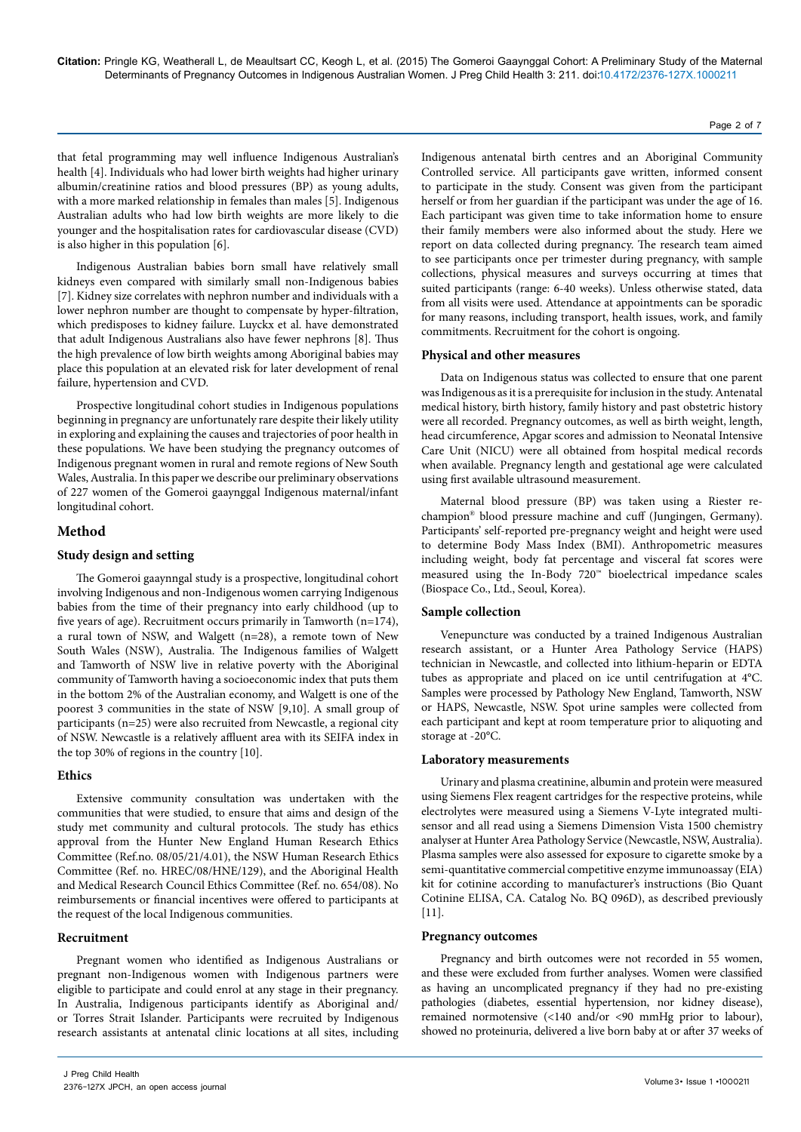that fetal programming may well influence Indigenous Australian's health [4]. Individuals who had lower birth weights had higher urinary albumin/creatinine ratios and blood pressures (BP) as young adults, with a more marked relationship in females than males [5]. Indigenous Australian adults who had low birth weights are more likely to die younger and the hospitalisation rates for cardiovascular disease (CVD) is also higher in this population [6].

Indigenous Australian babies born small have relatively small kidneys even compared with similarly small non-Indigenous babies [7]. Kidney size correlates with nephron number and individuals with a lower nephron number are thought to compensate by hyper-filtration, which predisposes to kidney failure. Luyckx et al. have demonstrated that adult Indigenous Australians also have fewer nephrons [8]. Thus the high prevalence of low birth weights among Aboriginal babies may place this population at an elevated risk for later development of renal failure, hypertension and CVD.

Prospective longitudinal cohort studies in Indigenous populations beginning in pregnancy are unfortunately rare despite their likely utility in exploring and explaining the causes and trajectories of poor health in these populations. We have been studying the pregnancy outcomes of Indigenous pregnant women in rural and remote regions of New South Wales, Australia. In this paper we describe our preliminary observations of 227 women of the Gomeroi gaaynggal Indigenous maternal/infant longitudinal cohort.

#### **Method**

#### **Study design and setting**

The Gomeroi gaaynngal study is a prospective, longitudinal cohort involving Indigenous and non-Indigenous women carrying Indigenous babies from the time of their pregnancy into early childhood (up to five years of age). Recruitment occurs primarily in Tamworth (n=174), a rural town of NSW, and Walgett (n=28), a remote town of New South Wales (NSW), Australia. The Indigenous families of Walgett and Tamworth of NSW live in relative poverty with the Aboriginal community of Tamworth having a socioeconomic index that puts them in the bottom 2% of the Australian economy, and Walgett is one of the poorest 3 communities in the state of NSW [9,10]. A small group of participants (n=25) were also recruited from Newcastle, a regional city of NSW. Newcastle is a relatively affluent area with its SEIFA index in the top 30% of regions in the country [10].

#### **Ethics**

Extensive community consultation was undertaken with the communities that were studied, to ensure that aims and design of the study met community and cultural protocols. The study has ethics approval from the Hunter New England Human Research Ethics Committee (Ref.no. 08/05/21/4.01), the NSW Human Research Ethics Committee (Ref. no. HREC/08/HNE/129), and the Aboriginal Health and Medical Research Council Ethics Committee (Ref. no. 654/08). No reimbursements or financial incentives were offered to participants at the request of the local Indigenous communities.

#### **Recruitment**

Pregnant women who identified as Indigenous Australians or pregnant non-Indigenous women with Indigenous partners were eligible to participate and could enrol at any stage in their pregnancy. In Australia, Indigenous participants identify as Aboriginal and/ or Torres Strait Islander. Participants were recruited by Indigenous research assistants at antenatal clinic locations at all sites, including

Indigenous antenatal birth centres and an Aboriginal Community Controlled service. All participants gave written, informed consent to participate in the study. Consent was given from the participant herself or from her guardian if the participant was under the age of 16. Each participant was given time to take information home to ensure their family members were also informed about the study. Here we report on data collected during pregnancy. The research team aimed to see participants once per trimester during pregnancy, with sample collections, physical measures and surveys occurring at times that suited participants (range: 6-40 weeks). Unless otherwise stated, data from all visits were used. Attendance at appointments can be sporadic for many reasons, including transport, health issues, work, and family commitments. Recruitment for the cohort is ongoing.

#### **Physical and other measures**

Data on Indigenous status was collected to ensure that one parent was Indigenous as it is a prerequisite for inclusion in the study. Antenatal medical history, birth history, family history and past obstetric history were all recorded. Pregnancy outcomes, as well as birth weight, length, head circumference, Apgar scores and admission to Neonatal Intensive Care Unit (NICU) were all obtained from hospital medical records when available. Pregnancy length and gestational age were calculated using first available ultrasound measurement.

Maternal blood pressure (BP) was taken using a Riester rechampion® blood pressure machine and cuff (Jungingen, Germany). Participants' self-reported pre-pregnancy weight and height were used to determine Body Mass Index (BMI). Anthropometric measures including weight, body fat percentage and visceral fat scores were measured using the In-Body 720™ bioelectrical impedance scales (Biospace Co., Ltd., Seoul, Korea).

# **Sample collection**

Venepuncture was conducted by a trained Indigenous Australian research assistant, or a Hunter Area Pathology Service (HAPS) technician in Newcastle, and collected into lithium-heparin or EDTA tubes as appropriate and placed on ice until centrifugation at 4°C. Samples were processed by Pathology New England, Tamworth, NSW or HAPS, Newcastle, NSW. Spot urine samples were collected from each participant and kept at room temperature prior to aliquoting and storage at -20°C.

#### **Laboratory measurements**

Urinary and plasma creatinine, albumin and protein were measured using Siemens Flex reagent cartridges for the respective proteins, while electrolytes were measured using a Siemens V-Lyte integrated multisensor and all read using a Siemens Dimension Vista 1500 chemistry analyser at Hunter Area Pathology Service (Newcastle, NSW, Australia). Plasma samples were also assessed for exposure to cigarette smoke by a semi-quantitative commercial competitive enzyme immunoassay (EIA) kit for cotinine according to manufacturer's instructions (Bio Quant Cotinine ELISA, CA. Catalog No. BQ 096D), as described previously [11].

#### **Pregnancy outcomes**

Pregnancy and birth outcomes were not recorded in 55 women, and these were excluded from further analyses. Women were classified as having an uncomplicated pregnancy if they had no pre-existing pathologies (diabetes, essential hypertension, nor kidney disease), remained normotensive (<140 and/or <90 mmHg prior to labour), showed no proteinuria, delivered a live born baby at or after 37 weeks of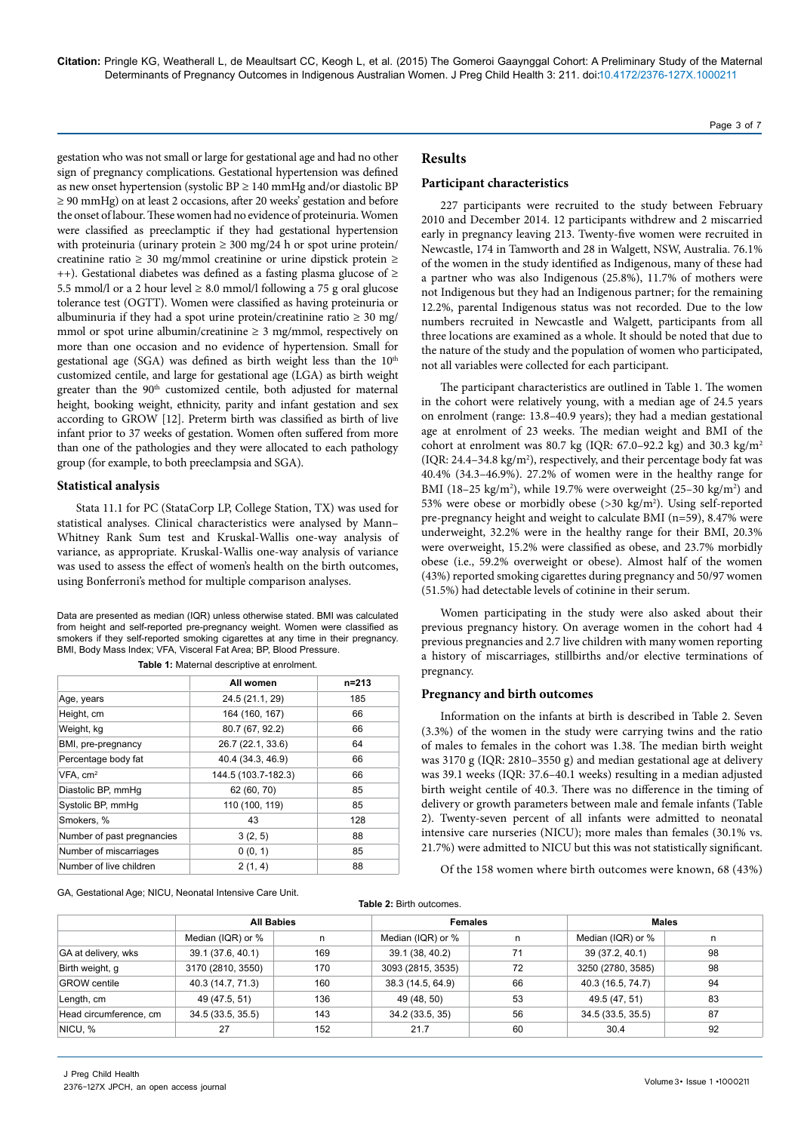gestation who was not small or large for gestational age and had no other sign of pregnancy complications. Gestational hypertension was defined as new onset hypertension (systolic BP  $\geq$  140 mmHg and/or diastolic BP ≥ 90 mmHg) on at least 2 occasions, after 20 weeks' gestation and before the onset of labour. These women had no evidence of proteinuria. Women were classified as preeclamptic if they had gestational hypertension with proteinuria (urinary protein  $\geq$  300 mg/24 h or spot urine protein/ creatinine ratio ≥ 30 mg/mmol creatinine or urine dipstick protein ≥ ++). Gestational diabetes was defined as a fasting plasma glucose of ≥ 5.5 mmol/l or a 2 hour level  $\geq$  8.0 mmol/l following a 75 g oral glucose tolerance test (OGTT). Women were classified as having proteinuria or albuminuria if they had a spot urine protein/creatinine ratio  $\geq 30$  mg/ mmol or spot urine albumin/creatinine  $\geq 3$  mg/mmol, respectively on more than one occasion and no evidence of hypertension. Small for gestational age (SGA) was defined as birth weight less than the 10<sup>th</sup> customized centile, and large for gestational age (LGA) as birth weight greater than the 90<sup>th</sup> customized centile, both adjusted for maternal height, booking weight, ethnicity, parity and infant gestation and sex according to GROW [12]. Preterm birth was classified as birth of live infant prior to 37 weeks of gestation. Women often suffered from more than one of the pathologies and they were allocated to each pathology group (for example, to both preeclampsia and SGA).

#### **Statistical analysis**

Stata 11.1 for PC (StataCorp LP, College Station, TX) was used for statistical analyses. Clinical characteristics were analysed by Mann– Whitney Rank Sum test and Kruskal-Wallis one-way analysis of variance, as appropriate. Kruskal-Wallis one-way analysis of variance was used to assess the effect of women's health on the birth outcomes, using Bonferroni's method for multiple comparison analyses.

Data are presented as median (IQR) unless otherwise stated. BMI was calculated from height and self-reported pre-pregnancy weight. Women were classified as smokers if they self-reported smoking cigarettes at any time in their pregnancy. BMI, Body Mass Index; VFA, Visceral Fat Area; BP, Blood Pressure.

|                            | All women           | $n = 213$ |
|----------------------------|---------------------|-----------|
| Age, years                 | 24.5 (21.1, 29)     | 185       |
| Height, cm                 | 164 (160, 167)      | 66        |
| Weight, kg                 | 80.7 (67, 92.2)     | 66        |
| BMI, pre-pregnancy         | 26.7 (22.1, 33.6)   | 64        |
| Percentage body fat        | 40.4 (34.3, 46.9)   | 66        |
| $VFA$ , $cm2$              | 144.5 (103.7-182.3) | 66        |
| Diastolic BP, mmHq         | 62 (60, 70)         | 85        |
| Systolic BP, mmHq          | 110 (100, 119)      | 85        |
| Smokers, %                 | 43                  | 128       |
| Number of past pregnancies | 3(2, 5)             | 88        |
| Number of miscarriages     | 0(0, 1)             | 85        |
| Number of live children    | 2(1, 4)             | 88        |

**Table 1:** Maternal descriptive at enrolment.

GA, Gestational Age; NICU, Neonatal Intensive Care Unit.

#### **Results**

#### **Participant characteristics**

227 participants were recruited to the study between February 2010 and December 2014. 12 participants withdrew and 2 miscarried early in pregnancy leaving 213. Twenty-five women were recruited in Newcastle, 174 in Tamworth and 28 in Walgett, NSW, Australia. 76.1% of the women in the study identified as Indigenous, many of these had a partner who was also Indigenous (25.8%), 11.7% of mothers were not Indigenous but they had an Indigenous partner; for the remaining 12.2%, parental Indigenous status was not recorded. Due to the low numbers recruited in Newcastle and Walgett, participants from all three locations are examined as a whole. It should be noted that due to the nature of the study and the population of women who participated, not all variables were collected for each participant.

The participant characteristics are outlined in Table 1. The women in the cohort were relatively young, with a median age of 24.5 years on enrolment (range: 13.8–40.9 years); they had a median gestational age at enrolment of 23 weeks. The median weight and BMI of the cohort at enrolment was 80.7 kg (IQR: 67.0–92.2 kg) and 30.3 kg/m<sup>2</sup>  $( IQR: 24.4-34.8 kg/m<sup>2</sup>), respectively, and their percentage body fat was$ 40.4% (34.3–46.9%). 27.2% of women were in the healthy range for BMI (18-25 kg/m<sup>2</sup>), while 19.7% were overweight (25-30 kg/m<sup>2</sup>) and 53% were obese or morbidly obese (>30 kg/m2 ). Using self-reported pre-pregnancy height and weight to calculate BMI (n=59), 8.47% were underweight, 32.2% were in the healthy range for their BMI, 20.3% were overweight, 15.2% were classified as obese, and 23.7% morbidly obese (i.e., 59.2% overweight or obese). Almost half of the women (43%) reported smoking cigarettes during pregnancy and 50/97 women (51.5%) had detectable levels of cotinine in their serum.

Women participating in the study were also asked about their previous pregnancy history. On average women in the cohort had 4 previous pregnancies and 2.7 live children with many women reporting a history of miscarriages, stillbirths and/or elective terminations of pregnancy.

# **Pregnancy and birth outcomes**

Information on the infants at birth is described in Table 2. Seven (3.3%) of the women in the study were carrying twins and the ratio of males to females in the cohort was 1.38. The median birth weight was 3170 g (IQR: 2810–3550 g) and median gestational age at delivery was 39.1 weeks (IQR: 37.6–40.1 weeks) resulting in a median adjusted birth weight centile of 40.3. There was no difference in the timing of delivery or growth parameters between male and female infants (Table 2). Twenty-seven percent of all infants were admitted to neonatal intensive care nurseries (NICU); more males than females (30.1% vs. 21.7%) were admitted to NICU but this was not statistically significant.

Of the 158 women where birth outcomes were known, 68 (43%)

| Table 2: Birth outcomes. |                   |     |                   |    |                   |    |  |  |  |
|--------------------------|-------------------|-----|-------------------|----|-------------------|----|--|--|--|
|                          | <b>All Babies</b> |     | <b>Females</b>    |    | <b>Males</b>      |    |  |  |  |
|                          | Median (IQR) or % | n   | Median (IQR) or % | n  | Median (IQR) or % | n  |  |  |  |
| GA at delivery, wks      | 39.1 (37.6, 40.1) | 169 | 39.1 (38, 40.2)   | 71 | 39 (37.2, 40.1)   | 98 |  |  |  |
| Birth weight, g          | 3170 (2810, 3550) | 170 | 3093 (2815, 3535) | 72 | 3250 (2780, 3585) | 98 |  |  |  |
| <b>GROW</b> centile      | 40.3 (14.7, 71.3) | 160 | 38.3 (14.5, 64.9) | 66 | 40.3 (16.5, 74.7) | 94 |  |  |  |
| Length, cm               | 49 (47.5, 51)     | 136 | 49 (48, 50)       | 53 | 49.5 (47, 51)     | 83 |  |  |  |
| Head circumference, cm   | 34.5(33.5, 35.5)  | 143 | 34.2 (33.5, 35)   | 56 | 34.5 (33.5, 35.5) | 87 |  |  |  |
| NICU, %                  | 27                | 152 | 21.7              | 60 | 30.4              | 92 |  |  |  |

Page 3 of 7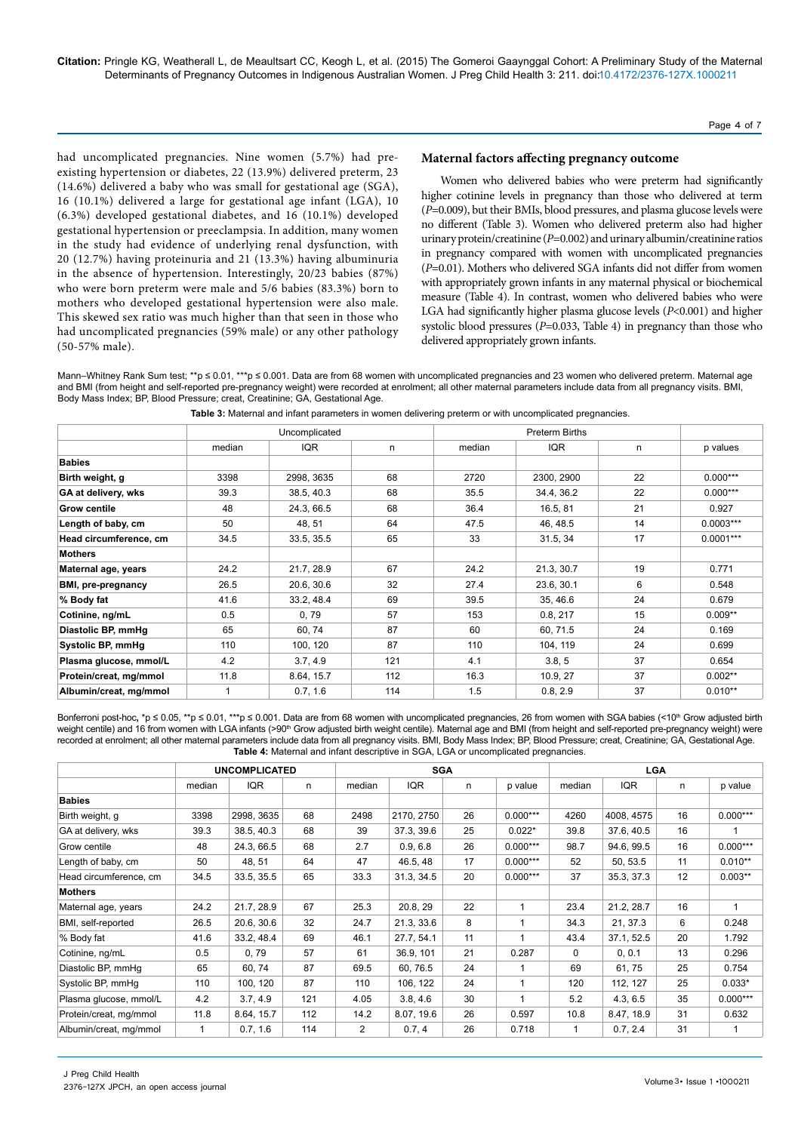#### Page 4 of 7

had uncomplicated pregnancies. Nine women (5.7%) had preexisting hypertension or diabetes, 22 (13.9%) delivered preterm, 23 (14.6%) delivered a baby who was small for gestational age (SGA), 16 (10.1%) delivered a large for gestational age infant (LGA), 10 (6.3%) developed gestational diabetes, and 16 (10.1%) developed gestational hypertension or preeclampsia. In addition, many women in the study had evidence of underlying renal dysfunction, with 20 (12.7%) having proteinuria and 21 (13.3%) having albuminuria in the absence of hypertension. Interestingly, 20/23 babies (87%) who were born preterm were male and 5/6 babies (83.3%) born to mothers who developed gestational hypertension were also male. This skewed sex ratio was much higher than that seen in those who had uncomplicated pregnancies (59% male) or any other pathology (50-57% male).

# **Maternal factors affecting pregnancy outcome**

Women who delivered babies who were preterm had significantly higher cotinine levels in pregnancy than those who delivered at term (*P*=0.009), but their BMIs, blood pressures, and plasma glucose levels were no different (Table 3). Women who delivered preterm also had higher urinary protein/creatinine (*P*=0.002) and urinary albumin/creatinine ratios in pregnancy compared with women with uncomplicated pregnancies (*P*=0.01). Mothers who delivered SGA infants did not differ from women with appropriately grown infants in any maternal physical or biochemical measure (Table 4). In contrast, women who delivered babies who were LGA had significantly higher plasma glucose levels (*P*<0.001) and higher systolic blood pressures (*P*=0.033, Table 4) in pregnancy than those who delivered appropriately grown infants.

Mann–Whitney Rank Sum test; \*\*p ≤ 0.01, \*\*\*p ≤ 0.001. Data are from 68 women with uncomplicated pregnancies and 23 women who delivered preterm. Maternal age and BMI (from height and self-reported pre-pregnancy weight) were recorded at enrolment; all other maternal parameters include data from all pregnancy visits. BMI, Body Mass Index; BP, Blood Pressure; creat, Creatinine; GA, Gestational Age.

|                        |        | Uncomplicated |     |        |            |    |             |
|------------------------|--------|---------------|-----|--------|------------|----|-------------|
|                        | median | IQR           | n   | median | <b>IQR</b> | n  | p values    |
| <b>Babies</b>          |        |               |     |        |            |    |             |
| Birth weight, g        | 3398   | 2998, 3635    | 68  | 2720   | 2300, 2900 | 22 | $0.000***$  |
| GA at delivery, wks    | 39.3   | 38.5, 40.3    | 68  | 35.5   | 34.4, 36.2 | 22 | $0.000***$  |
| <b>Grow centile</b>    | 48     | 24.3, 66.5    | 68  | 36.4   | 16.5, 81   | 21 | 0.927       |
| Length of baby, cm     | 50     | 48, 51        | 64  | 47.5   | 46, 48.5   | 14 | $0.0003***$ |
| Head circumference, cm | 34.5   | 33.5, 35.5    | 65  | 33     | 31.5, 34   | 17 | $0.0001***$ |
| <b>Mothers</b>         |        |               |     |        |            |    |             |
| Maternal age, years    | 24.2   | 21.7, 28.9    | 67  | 24.2   | 21.3, 30.7 | 19 | 0.771       |
| BMI, pre-pregnancy     | 26.5   | 20.6, 30.6    | 32  | 27.4   | 23.6, 30.1 | 6  | 0.548       |
| % Body fat             | 41.6   | 33.2.48.4     | 69  | 39.5   | 35, 46.6   | 24 | 0.679       |
| Cotinine, ng/mL        | 0.5    | 0,79          | 57  | 153    | 0.8, 217   | 15 | $0.009**$   |
| Diastolic BP, mmHg     | 65     | 60, 74        | 87  | 60     | 60, 71.5   | 24 | 0.169       |
| Systolic BP, mmHg      | 110    | 100, 120      | 87  | 110    | 104, 119   | 24 | 0.699       |
| Plasma glucose, mmol/L | 4.2    | 3.7, 4.9      | 121 | 4.1    | 3.8, 5     | 37 | 0.654       |
| Protein/creat, mg/mmol | 11.8   | 8.64, 15.7    | 112 | 16.3   | 10.9, 27   | 37 | $0.002**$   |
| Albumin/creat, mg/mmol |        | 0.7, 1.6      | 114 | 1.5    | 0.8, 2.9   | 37 | $0.010**$   |

**Table 3:** Maternal and infant parameters in women delivering preterm or with uncomplicated pregnancies.

Bonferroni post-hoc, \*p ≤ 0.05, \*\*p ≤ 0.01, \*\*\*p ≤ 0.001. Data are from 68 women with uncomplicated pregnancies, 26 from women with SGA babies (<10<sup>th</sup> Grow adjusted birth weight centile) and 16 from women with LGA infants (>90th Grow adjusted birth weight centile). Maternal age and BMI (from height and self-reported pre-pregnancy weight) were recorded at enrolment; all other maternal parameters include data from all pregnancy visits. BMI, Body Mass Index; BP, Blood Pressure; creat, Creatinine; GA, Gestational Age. **Table 4:** Maternal and infant descriptive in SGA, LGA or uncomplicated pregnancies.

|                        | <b>UNCOMPLICATED</b> |            |     | <b>SGA</b>     |            |    |            | <b>LGA</b> |            |    |              |
|------------------------|----------------------|------------|-----|----------------|------------|----|------------|------------|------------|----|--------------|
|                        | median               | IQR        | n   | median         | <b>IQR</b> | n  | p value    | median     | IQR        | n  | p value      |
| <b>Babies</b>          |                      |            |     |                |            |    |            |            |            |    |              |
| Birth weight, g        | 3398                 | 2998, 3635 | 68  | 2498           | 2170, 2750 | 26 | $0.000***$ | 4260       | 4008, 4575 | 16 | $0.000***$   |
| GA at delivery, wks    | 39.3                 | 38.5, 40.3 | 68  | 39             | 37.3, 39.6 | 25 | $0.022*$   | 39.8       | 37.6, 40.5 | 16 |              |
| Grow centile           | 48                   | 24.3, 66.5 | 68  | 2.7            | 0.9, 6.8   | 26 | $0.000***$ | 98.7       | 94.6, 99.5 | 16 | $0.000***$   |
| Length of baby, cm     | 50                   | 48, 51     | 64  | 47             | 46.5, 48   | 17 | $0.000***$ | 52         | 50, 53.5   | 11 | $0.010**$    |
| Head circumference, cm | 34.5                 | 33.5, 35.5 | 65  | 33.3           | 31.3, 34.5 | 20 | $0.000***$ | 37         | 35.3, 37.3 | 12 | $0.003**$    |
| <b>Mothers</b>         |                      |            |     |                |            |    |            |            |            |    |              |
| Maternal age, years    | 24.2                 | 21.7, 28.9 | 67  | 25.3           | 20.8, 29   | 22 |            | 23.4       | 21.2, 28.7 | 16 | $\mathbf{1}$ |
| BMI, self-reported     | 26.5                 | 20.6, 30.6 | 32  | 24.7           | 21.3, 33.6 | 8  | 1          | 34.3       | 21, 37.3   | 6  | 0.248        |
| % Body fat             | 41.6                 | 33.2, 48.4 | 69  | 46.1           | 27.7, 54.1 | 11 | 1          | 43.4       | 37.1, 52.5 | 20 | 1.792        |
| Cotinine, ng/mL        | 0.5                  | 0,79       | 57  | 61             | 36.9, 101  | 21 | 0.287      | 0          | 0, 0.1     | 13 | 0.296        |
| Diastolic BP, mmHq     | 65                   | 60, 74     | 87  | 69.5           | 60, 76.5   | 24 | 1          | 69         | 61, 75     | 25 | 0.754        |
| Systolic BP, mmHq      | 110                  | 100, 120   | 87  | 110            | 106, 122   | 24 | 1          | 120        | 112, 127   | 25 | $0.033*$     |
| Plasma glucose, mmol/L | 4.2                  | 3.7, 4.9   | 121 | 4.05           | 3.8, 4.6   | 30 | 1          | 5.2        | 4.3, 6.5   | 35 | $0.000***$   |
| Protein/creat, mg/mmol | 11.8                 | 8.64, 15.7 | 112 | 14.2           | 8.07, 19.6 | 26 | 0.597      | 10.8       | 8.47, 18.9 | 31 | 0.632        |
| Albumin/creat, mg/mmol | $\mathbf{1}$         | 0.7, 1.6   | 114 | $\overline{2}$ | 0.7, 4     | 26 | 0.718      | 1          | 0.7, 2.4   | 31 | 1            |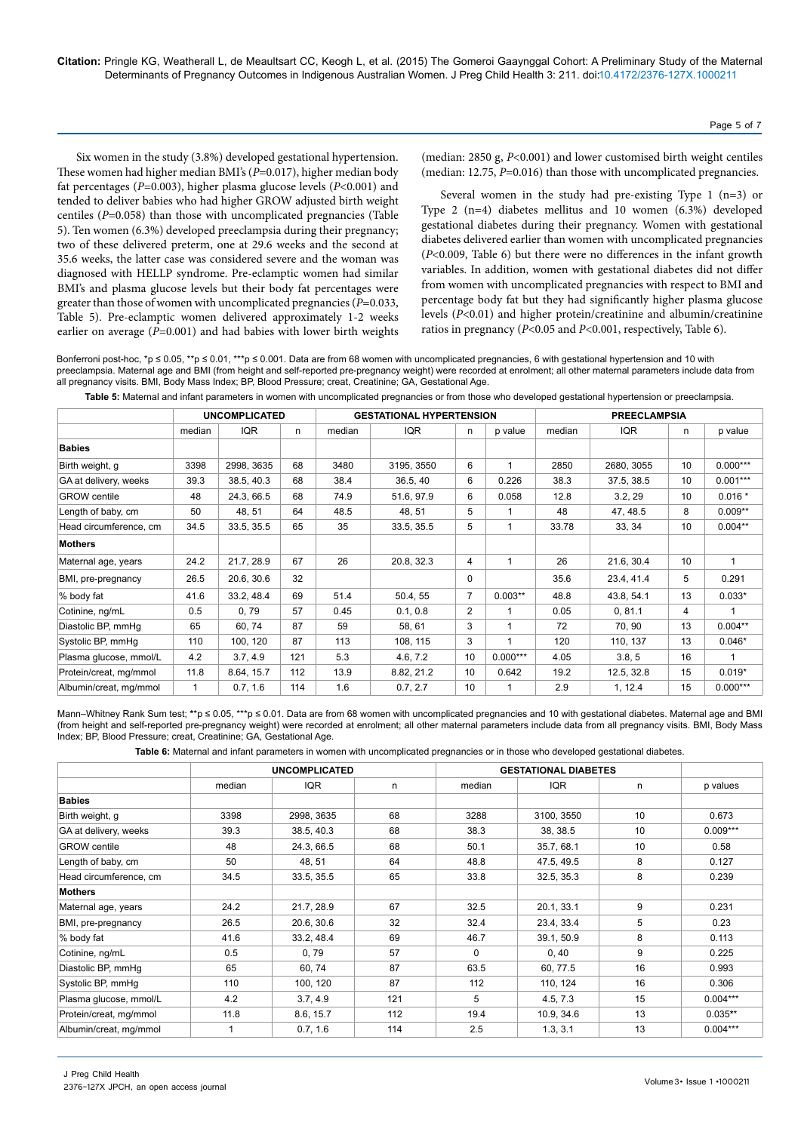Six women in the study (3.8%) developed gestational hypertension. These women had higher median BMI's (*P*=0.017), higher median body fat percentages (*P*=0.003), higher plasma glucose levels (*P*<0.001) and tended to deliver babies who had higher GROW adjusted birth weight centiles (*P*=0.058) than those with uncomplicated pregnancies (Table 5). Ten women (6.3%) developed preeclampsia during their pregnancy; two of these delivered preterm, one at 29.6 weeks and the second at 35.6 weeks, the latter case was considered severe and the woman was diagnosed with HELLP syndrome. Pre-eclamptic women had similar BMI's and plasma glucose levels but their body fat percentages were greater than those of women with uncomplicated pregnancies (*P*=0.033, Table 5). Pre-eclamptic women delivered approximately 1-2 weeks earlier on average ( $P=0.001$ ) and had babies with lower birth weights

(median: 2850 g, *P*<0.001) and lower customised birth weight centiles (median: 12.75, *P*=0.016) than those with uncomplicated pregnancies.

Several women in the study had pre-existing Type 1 (n=3) or Type 2 (n=4) diabetes mellitus and 10 women (6.3%) developed gestational diabetes during their pregnancy. Women with gestational diabetes delivered earlier than women with uncomplicated pregnancies (*P*<0.009, Table 6) but there were no differences in the infant growth variables. In addition, women with gestational diabetes did not differ from women with uncomplicated pregnancies with respect to BMI and percentage body fat but they had significantly higher plasma glucose levels (*P*<0.01) and higher protein/creatinine and albumin/creatinine ratios in pregnancy (*P*<0.05 and *P*<0.001, respectively, Table 6).

Bonferroni post-hoc, \*p ≤ 0.05, \*\*p ≤ 0.01, \*\*\*p ≤ 0.001. Data are from 68 women with uncomplicated pregnancies, 6 with gestational hypertension and 10 with preeclampsia. Maternal age and BMI (from height and self-reported pre-pregnancy weight) were recorded at enrolment; all other maternal parameters include data from all pregnancy visits. BMI, Body Mass Index; BP, Blood Pressure; creat, Creatinine; GA, Gestational Age.

**Table 5:** Maternal and infant parameters in women with uncomplicated pregnancies or from those who developed gestational hypertension or preeclampsia.

|                        | <b>UNCOMPLICATED</b> |            | <b>GESTATIONAL HYPERTENSION</b> |        |            |                | <b>PREECLAMPSIA</b> |        |            |                 |            |
|------------------------|----------------------|------------|---------------------------------|--------|------------|----------------|---------------------|--------|------------|-----------------|------------|
|                        | median               | <b>IQR</b> | n                               | median | <b>IQR</b> | n              | p value             | median | IQR        | n               | p value    |
| <b>Babies</b>          |                      |            |                                 |        |            |                |                     |        |            |                 |            |
| Birth weight, g        | 3398                 | 2998, 3635 | 68                              | 3480   | 3195, 3550 | 6              | 1                   | 2850   | 2680, 3055 | 10              | $0.000***$ |
| GA at delivery, weeks  | 39.3                 | 38.5, 40.3 | 68                              | 38.4   | 36.5, 40   | 6              | 0.226               | 38.3   | 37.5, 38.5 | 10 <sup>1</sup> | $0.001***$ |
| <b>GROW</b> centile    | 48                   | 24.3, 66.5 | 68                              | 74.9   | 51.6, 97.9 | 6              | 0.058               | 12.8   | 3.2, 29    | 10 <sup>1</sup> | $0.016*$   |
| Length of baby, cm     | 50                   | 48, 51     | 64                              | 48.5   | 48, 51     | 5              | 1                   | 48     | 47, 48.5   | 8               | $0.009**$  |
| Head circumference, cm | 34.5                 | 33.5, 35.5 | 65                              | 35     | 33.5, 35.5 | 5              | 1                   | 33.78  | 33, 34     | 10 <sup>1</sup> | $0.004**$  |
| <b>Mothers</b>         |                      |            |                                 |        |            |                |                     |        |            |                 |            |
| Maternal age, years    | 24.2                 | 21.7, 28.9 | 67                              | 26     | 20.8, 32.3 | 4              | 1                   | 26     | 21.6, 30.4 | 10              |            |
| BMI, pre-pregnancy     | 26.5                 | 20.6, 30.6 | 32                              |        |            | $\Omega$       |                     | 35.6   | 23.4, 41.4 | 5               | 0.291      |
| % body fat             | 41.6                 | 33.2, 48.4 | 69                              | 51.4   | 50.4, 55   | $\overline{7}$ | $0.003**$           | 48.8   | 43.8, 54.1 | 13              | $0.033*$   |
| Cotinine, ng/mL        | 0.5                  | 0,79       | 57                              | 0.45   | 0.1, 0.8   | 2              |                     | 0.05   | 0, 81.1    | 4               |            |
| Diastolic BP, mmHg     | 65                   | 60, 74     | 87                              | 59     | 58, 61     | 3              |                     | 72     | 70, 90     | 13              | $0.004**$  |
| Systolic BP, mmHg      | 110                  | 100, 120   | 87                              | 113    | 108, 115   | 3              |                     | 120    | 110, 137   | 13              | $0.046*$   |
| Plasma glucose, mmol/L | 4.2                  | 3.7, 4.9   | 121                             | 5.3    | 4.6, 7.2   | 10             | $0.000***$          | 4.05   | 3.8, 5     | 16              |            |
| Protein/creat, mg/mmol | 11.8                 | 8.64, 15.7 | 112                             | 13.9   | 8.82, 21.2 | 10             | 0.642               | 19.2   | 12.5, 32.8 | 15              | $0.019*$   |
| Albumin/creat, mg/mmol | $\mathbf{1}$         | 0.7, 1.6   | 114                             | 1.6    | 0.7, 2.7   | 10             |                     | 2.9    | 1, 12.4    | 15              | $0.000***$ |

Mann–Whitney Rank Sum test; \*\*p ≤ 0.05, \*\*\*p ≤ 0.01. Data are from 68 women with uncomplicated pregnancies and 10 with gestational diabetes. Maternal age and BMI (from height and self-reported pre-pregnancy weight) were recorded at enrolment; all other maternal parameters include data from all pregnancy visits. BMI, Body Mass Index; BP, Blood Pressure; creat, Creatinine; GA, Gestational Age.

**Table 6:** Maternal and infant parameters in women with uncomplicated pregnancies or in those who developed gestational diabetes.

|                        |        | <b>UNCOMPLICATED</b> |     | <b>GESTATIONAL DIABETES</b> |            |    |            |
|------------------------|--------|----------------------|-----|-----------------------------|------------|----|------------|
|                        | median | IQR                  | n   | median                      | IQR        | n  | p values   |
| <b>Babies</b>          |        |                      |     |                             |            |    |            |
| Birth weight, g        | 3398   | 2998, 3635           | 68  | 3288                        | 3100, 3550 | 10 | 0.673      |
| GA at delivery, weeks  | 39.3   | 38.5, 40.3           | 68  | 38.3                        | 38, 38.5   | 10 | $0.009***$ |
| <b>GROW</b> centile    | 48     | 24.3, 66.5           | 68  | 50.1                        | 35.7, 68.1 | 10 | 0.58       |
| Length of baby, cm     | 50     | 48, 51               | 64  | 48.8                        | 47.5, 49.5 | 8  | 0.127      |
| Head circumference, cm | 34.5   | 33.5, 35.5           | 65  | 33.8                        | 32.5, 35.3 | 8  | 0.239      |
| <b>Mothers</b>         |        |                      |     |                             |            |    |            |
| Maternal age, years    | 24.2   | 21.7, 28.9           | 67  | 32.5                        | 20.1, 33.1 | 9  | 0.231      |
| BMI, pre-pregnancy     | 26.5   | 20.6, 30.6           | 32  | 32.4                        | 23.4, 33.4 | 5  | 0.23       |
| % body fat             | 41.6   | 33.2, 48.4           | 69  | 46.7                        | 39.1, 50.9 | 8  | 0.113      |
| Cotinine, ng/mL        | 0.5    | 0,79                 | 57  | $\mathbf 0$                 | 0, 40      | 9  | 0.225      |
| Diastolic BP, mmHg     | 65     | 60, 74               | 87  | 63.5                        | 60, 77.5   | 16 | 0.993      |
| Systolic BP, mmHg      | 110    | 100, 120             | 87  | 112                         | 110, 124   | 16 | 0.306      |
| Plasma glucose, mmol/L | 4.2    | 3.7, 4.9             | 121 | 5                           | 4.5, 7.3   | 15 | $0.004***$ |
| Protein/creat, mg/mmol | 11.8   | 8.6, 15.7            | 112 | 19.4                        | 10.9, 34.6 | 13 | $0.035**$  |
| Albumin/creat, mg/mmol |        | 0.7, 1.6             | 114 | 2.5                         | 1.3, 3.1   | 13 | $0.004***$ |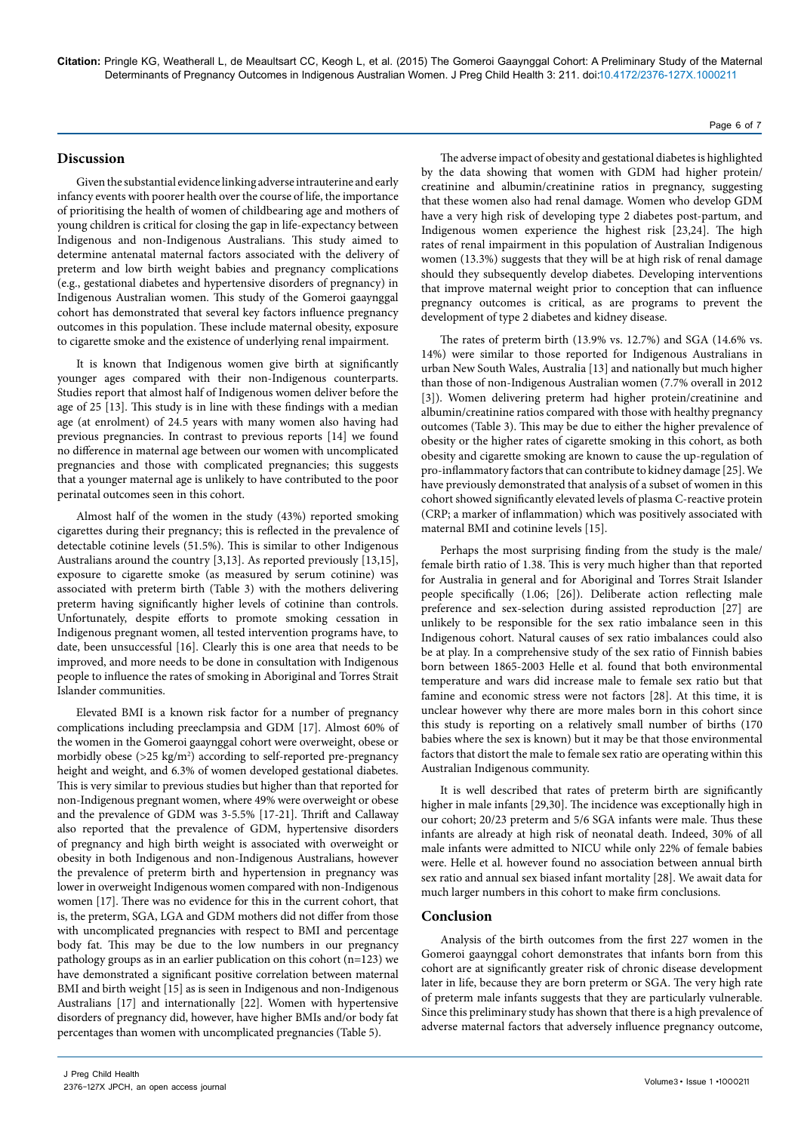### **Discussion**

Given the substantial evidence linking adverse intrauterine and early infancy events with poorer health over the course of life, the importance of prioritising the health of women of childbearing age and mothers of young children is critical for closing the gap in life-expectancy between Indigenous and non-Indigenous Australians. This study aimed to determine antenatal maternal factors associated with the delivery of preterm and low birth weight babies and pregnancy complications (e.g., gestational diabetes and hypertensive disorders of pregnancy) in Indigenous Australian women. This study of the Gomeroi gaaynggal cohort has demonstrated that several key factors influence pregnancy outcomes in this population. These include maternal obesity, exposure to cigarette smoke and the existence of underlying renal impairment.

It is known that Indigenous women give birth at significantly younger ages compared with their non-Indigenous counterparts. Studies report that almost half of Indigenous women deliver before the age of 25 [13]. This study is in line with these findings with a median age (at enrolment) of 24.5 years with many women also having had previous pregnancies. In contrast to previous reports [14] we found no difference in maternal age between our women with uncomplicated pregnancies and those with complicated pregnancies; this suggests that a younger maternal age is unlikely to have contributed to the poor perinatal outcomes seen in this cohort.

Almost half of the women in the study (43%) reported smoking cigarettes during their pregnancy; this is reflected in the prevalence of detectable cotinine levels (51.5%). This is similar to other Indigenous Australians around the country [3,13]. As reported previously [13,15], exposure to cigarette smoke (as measured by serum cotinine) was associated with preterm birth (Table 3) with the mothers delivering preterm having significantly higher levels of cotinine than controls. Unfortunately, despite efforts to promote smoking cessation in Indigenous pregnant women, all tested intervention programs have, to date, been unsuccessful [16]. Clearly this is one area that needs to be improved, and more needs to be done in consultation with Indigenous people to influence the rates of smoking in Aboriginal and Torres Strait Islander communities.

Elevated BMI is a known risk factor for a number of pregnancy complications including preeclampsia and GDM [17]. Almost 60% of the women in the Gomeroi gaaynggal cohort were overweight, obese or morbidly obese (>25 kg/m<sup>2</sup>) according to self-reported pre-pregnancy height and weight, and 6.3% of women developed gestational diabetes. This is very similar to previous studies but higher than that reported for non-Indigenous pregnant women, where 49% were overweight or obese and the prevalence of GDM was 3-5.5% [17-21]. Thrift and Callaway also reported that the prevalence of GDM, hypertensive disorders of pregnancy and high birth weight is associated with overweight or obesity in both Indigenous and non-Indigenous Australians, however the prevalence of preterm birth and hypertension in pregnancy was lower in overweight Indigenous women compared with non-Indigenous women [17]. There was no evidence for this in the current cohort, that is, the preterm, SGA, LGA and GDM mothers did not differ from those with uncomplicated pregnancies with respect to BMI and percentage body fat. This may be due to the low numbers in our pregnancy pathology groups as in an earlier publication on this cohort (n=123) we have demonstrated a significant positive correlation between maternal BMI and birth weight [15] as is seen in Indigenous and non-Indigenous Australians [17] and internationally [22]. Women with hypertensive disorders of pregnancy did, however, have higher BMIs and/or body fat percentages than women with uncomplicated pregnancies (Table 5).

The adverse impact of obesity and gestational diabetes is highlighted by the data showing that women with GDM had higher protein/ creatinine and albumin/creatinine ratios in pregnancy, suggesting that these women also had renal damage. Women who develop GDM have a very high risk of developing type 2 diabetes post-partum, and Indigenous women experience the highest risk [23,24]. The high rates of renal impairment in this population of Australian Indigenous women (13.3%) suggests that they will be at high risk of renal damage should they subsequently develop diabetes. Developing interventions that improve maternal weight prior to conception that can influence pregnancy outcomes is critical, as are programs to prevent the development of type 2 diabetes and kidney disease.

The rates of preterm birth (13.9% vs. 12.7%) and SGA (14.6% vs. 14%) were similar to those reported for Indigenous Australians in urban New South Wales, Australia [13] and nationally but much higher than those of non-Indigenous Australian women (7.7% overall in 2012 [3]). Women delivering preterm had higher protein/creatinine and albumin/creatinine ratios compared with those with healthy pregnancy outcomes (Table 3). This may be due to either the higher prevalence of obesity or the higher rates of cigarette smoking in this cohort, as both obesity and cigarette smoking are known to cause the up-regulation of pro-inflammatory factors that can contribute to kidney damage [25]. We have previously demonstrated that analysis of a subset of women in this cohort showed significantly elevated levels of plasma C-reactive protein (CRP; a marker of inflammation) which was positively associated with maternal BMI and cotinine levels [15].

Perhaps the most surprising finding from the study is the male/ female birth ratio of 1.38. This is very much higher than that reported for Australia in general and for Aboriginal and Torres Strait Islander people specifically (1.06; [26]). Deliberate action reflecting male preference and sex-selection during assisted reproduction [27] are unlikely to be responsible for the sex ratio imbalance seen in this Indigenous cohort. Natural causes of sex ratio imbalances could also be at play. In a comprehensive study of the sex ratio of Finnish babies born between 1865-2003 Helle et al*.* found that both environmental temperature and wars did increase male to female sex ratio but that famine and economic stress were not factors [28]. At this time, it is unclear however why there are more males born in this cohort since this study is reporting on a relatively small number of births (170 babies where the sex is known) but it may be that those environmental factors that distort the male to female sex ratio are operating within this Australian Indigenous community.

It is well described that rates of preterm birth are significantly higher in male infants [29,30]. The incidence was exceptionally high in our cohort; 20/23 preterm and 5/6 SGA infants were male. Thus these infants are already at high risk of neonatal death. Indeed, 30% of all male infants were admitted to NICU while only 22% of female babies were. Helle et al. however found no association between annual birth sex ratio and annual sex biased infant mortality [28]. We await data for much larger numbers in this cohort to make firm conclusions.

#### **Conclusion**

Analysis of the birth outcomes from the first 227 women in the Gomeroi gaaynggal cohort demonstrates that infants born from this cohort are at significantly greater risk of chronic disease development later in life, because they are born preterm or SGA. The very high rate of preterm male infants suggests that they are particularly vulnerable. Since this preliminary study has shown that there is a high prevalence of adverse maternal factors that adversely influence pregnancy outcome,